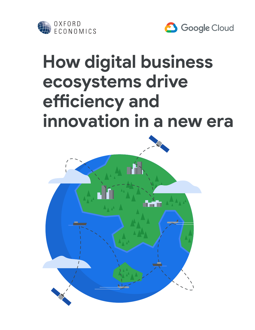



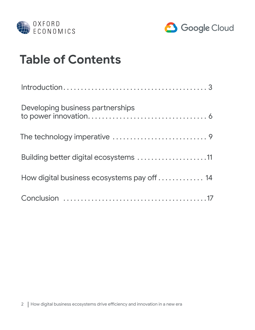



## **Table of Contents**

| Developing business partnerships           |
|--------------------------------------------|
|                                            |
| Building better digital ecosystems 11      |
| How digital business ecosystems pay off 14 |
|                                            |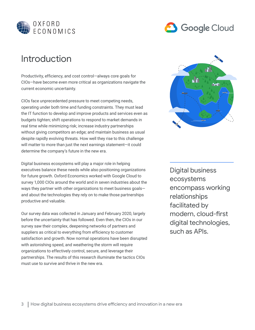<span id="page-2-0"></span>



### Introduction

Productivity, efficiency, and cost control—always core goals for CIOs—have become even more critical as organizations navigate the current economic uncertainty.

CIOs face unprecedented pressure to meet competing needs, operating under both time and funding constraints. They must lead the IT function to develop and improve products and services even as budgets tighten; shift operations to respond to market demands in real time while minimizing risk; increase industry partnerships without giving competitors an edge; and maintain business as usual despite rapidly evolving threats. How well they rise to this challenge will matter to more than just the next earnings statement—it could determine the company's future in the new era.

Digital business ecosystems will play a major role in helping executives balance these needs while also positioning organizations for future growth. Oxford Economics worked with Google Cloud to survey 1,000 CIOs around the world and in seven industries about the ways they partner with other organizations to meet business goals and about the technologies they rely on to make those partnerships productive and valuable.

Our survey data was collected in January and February 2020, largely before the uncertainty that has followed. Even then, the CIOs in our survey saw their complex, deepening networks of partners and suppliers as critical to everything from efficiency to customer satisfaction and growth. Now normal operations have been disrupted with astonishing speed, and weathering the storm will require organizations to effectively control, secure, and leverage their partnerships. The results of this research illuminate the tactics CIOs must use to survive and thrive in the new era.



Digital business ecosystems encompass working relationships facilitated by modern, cloud-first digital technologies, such as APIs.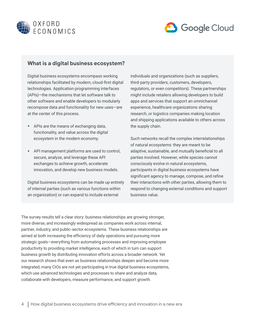



#### **What is a digital business ecosystem?**

Digital business ecosystems encompass working relationships facilitated by modern, cloud-first digital technologies. Application programming interfaces (APIs)—the mechanisms that let software talk to other software and enable developers to modularly recompose data and functionality for new uses—are at the center of this process.

- APIs are the means of exchanging data, functionality, and value across the digital ecosystem in the modern economy.
- API management platforms are used to control, secure, analyze, and leverage these API exchanges to achieve growth, accelerate innovation, and develop new business models.

Digital business ecosystems can be made up entirely of internal parties (such as various functions within an organization) or can expand to include external

individuals and organizations (such as suppliers, third-party providers, customers, developers, regulators, or even competitors). These partnerships might include retailers allowing developers to build apps and services that support an omnichannel experience, healthcare organizations sharing research, or logistics companies making location and shipping applications available to others across the supply chain.

Such networks recall the complex interrelationships of natural ecosystems: they are meant to be adaptive, sustainable, and mutually beneficial to all parties involved. However, while species cannot consciously evolve in natural ecosystems, participants in digital business ecosystems have significant agency to manage, compose, and refine their interactions with other parties, allowing them to respond to changing external conditions and support business value.

The survey results tell a clear story: business relationships are growing stronger, more diverse, and increasingly widespread as companies work across internal, partner, industry, and public-sector ecosystems. These business relationships are aimed at both increasing the efficiency of daily operations and pursuing more strategic goals—everything from automating processes and improving employee productivity to providing market intelligence, each of which in turn can support business growth by distributing innovation efforts across a broader network. Yet our research shows that even as business relationships deepen and become more integrated, many CIOs are not yet participating in true digital business ecosystems, which use advanced technologies and processes to share and analyze data, collaborate with developers, measure performance, and support growth.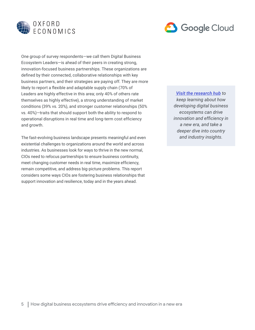



One group of survey respondents—we call them Digital Business Ecosystem Leaders—is ahead of their peers in creating strong, innovation-focused business partnerships. These organizations are defined by their connected, collaborative relationships with key business partners, and their strategies are paying off. They are more likely to report a flexible and adaptable supply chain (70% of Leaders are highly effective in this area; only 40% of others rate themselves as highly effective), a strong understanding of market conditions (39% vs. 20%), and stronger customer relationships (50% vs. 40%)—traits that should support both the ability to respond to operational disruptions in real time and long-term cost efficiency and growth.

The fast-evolving business landscape presents meaningful and even existential challenges to organizations around the world and across industries. As businesses look for ways to thrive in the new normal, CIOs need to refocus partnerships to ensure business continuity, meet changing customer needs in real time, maximize efficiency, remain competitive, and address big-picture problems. This report considers some ways CIOs are fostering business relationships that support innovation and resilience, today and in the years ahead.

*[Visit the research hub](https://pages.apigee.com/digital-business-ecosystems-research-register/?utm_source=ebook&utm_medium=cta&utm_campaign=oxford-economics) to keep learning about how developing digital business ecosystems can drive innovation and efficiency in a new era, and take a deeper dive into country and industry insights.*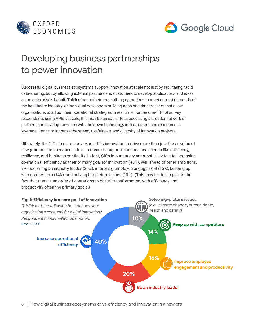<span id="page-5-0"></span>



### Developing business partnerships to power innovation

Successful digital business ecosystems support innovation at scale not just by facilitating rapid data-sharing, but by allowing external partners and customers to develop applications and ideas on an enterprise's behalf. Think of manufacturers shifting operations to meet current demands of the healthcare industry, or individual developers building apps and data trackers that allow organizations to adjust their operational strategies in real time. For the one-fifth of survey respondents using APIs at scale, this may be an easier feat: accessing a broader network of partners and developers—each with their own technology infrastructure and resources to leverage—tends to increase the speed, usefulness, and diversity of innovation projects.

Ultimately, the CIOs in our survey expect this innovation to drive more than just the creation of new products and services. It is also meant to support core business needs like efficiency, resilience, and business continuity. In fact, CIOs in our survey are most likely to cite increasing operational efficiency as their primary goal for innovation (40%), well ahead of other ambitions, like becoming an industry leader (20%), improving employee engagement (16%), keeping up with competitors (14%), and solving big-picture issues (10%). (This may be due in part to the fact that there is an order of operations to digital transformation, with efficiency and productivity often the primary goals.)

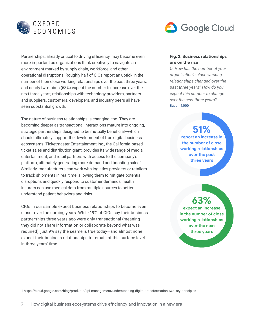



Partnerships, already critical to driving efficiency, may become even more important as organizations think creatively to navigate an environment marked by supply chain, workforce, and other operational disruptions. Roughly half of CIOs report an uptick in the number of their close working relationships over the past three years, and nearly two-thirds (63%) expect the number to increase over the next three years; relationships with technology providers, partners and suppliers, customers, developers, and industry peers all have seen substantial growth.

The nature of business relationships is changing, too. They are becoming deeper as transactional interactions mature into ongoing, strategic partnerships designed to be mutually beneficial—which should ultimately support the development of true digital business ecosystems. Ticketmaster Entertainment Inc., the California-based ticket sales and distribution giant, provides its wide range of media, entertainment, and retail partners with access to the company's platform, ultimately generating more demand and boosting sales.<sup>1</sup> Similarly, manufacturers can work with logistics providers or retailers to track shipments in real time, allowing them to mitigate potential disruptions and quickly respond to customer demands; health insurers can use medical data from multiple sources to better understand patient behaviors and risks.

CIOs in our sample expect business relationships to become even closer over the coming years. While 19% of CIOs say their business partnerships three years ago were only transactional (meaning they did not share information or collaborate beyond what was required), just 9% say the seame is true today—and almost none expect their business relationships to remain at this surface level in three years' time.

#### **Fig. 2: Business relationships are on the rise**

*Q: How has the number of your organization's close working relationships changed over the past three years? How do you expect this number to change over the next three years?* Base = 1,000

**51%**

**report an increase in the number of close working relationships over the past three years**

**63%**

**expect an increase in the number of close working relationships over the next three years**

1 https://cloud.google.com/blog/products/api-management/understanding-digital-transformation-two-key-principles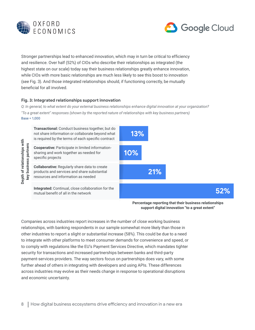



Stronger partnerships lead to enhanced innovation, which may in turn be critical to efficiency and resilience. Over half (52%) of CIOs who describe their relationships as integrated (the highest state on our scale) today say their business relationships greatly enhance innovation, while CIOs with more basic relationships are much less likely to see this boost to innovation (see Fig. 3). And those integrated relationships should, if functioning correctly, be mutually beneficial for all involved.

#### **Fig. 3: Integrated relationships support innovation**

*Q: In general, to what extent do your external business relationships enhance digital innovation at your organization? "To a great extent" responses (shown by the reported nature of relationships with key business partners)* Base = 1,000



Companies across industries report increases in the number of close working business relationships, with banking respondents in our sample somewhat more likely than those in other industries to report a slight or substantial increase (58%). This could be due to a need to integrate with other platforms to meet consumer demands for convenience and speed, or to comply with regulations like the EU's Payment Services Directive, which mandates tighter security for transactions and increased partnerships between banks and third-party payment-services providers. The way sectors focus on partnerships does vary, with some further ahead of others in integrating with developers and using APIs. These differences across industries may evolve as their needs change in response to operational disruptions and economic uncertainty.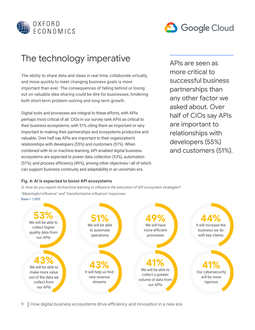<span id="page-8-0"></span>

### The technology imperative

The ability to share data and ideas in real time, collaborate virtually, and move quickly to meet changing business goals is more important than ever. The consequences of falling behind or losing out on valuable idea-sharing could be dire for businesses, hindering both short-term problem-solving and long-term growth.

Digital tools and processes are integral to these efforts, with APIs perhaps most critical of all. CIOs in our survey rank APIs as critical to their business ecosystems, with 51% citing them as important or very important to making their partnerships and ecosystems productive and valuable. Over half say APIs are important to their organization's relationships with developers (55%) and customers (51%). When combined with AI or machine learning, API-enabled digital business ecosystems are expected to power data collection (53%), automation (51%), and process efficiency (49%), among other objectives—all of which can support business continuity and adaptability in an uncertain era.



APIs are seen as more critical to successful business partnerships than any other factor we asked about. Over half of CIOs say APIs are important to relationships with developers (55%) and customers (51%).

#### **Fig. 4: AI is expected to boost API ecosystems**

*Q: How do you expect AI/machine learning to influence the execution of API ecosystem strategies? "Meaningful influence" and "transformative influence" responses* Base = 1,000

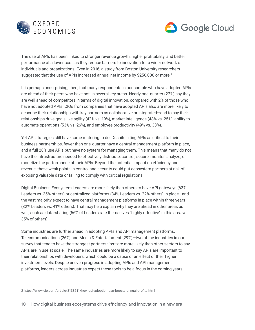



The use of APIs has been linked to stronger revenue growth, higher profitability, and better performance at a lower cost, as they reduce barriers to innovation for a wider network of individuals and organizations. Even in 2016, a study from Boston University researchers suggested that the use of APIs increased annual net income by \$250,000 or more.<sup>2</sup>

It is perhaps unsurprising, then, that many respondents in our sample who have adopted APIs are ahead of their peers who have not, in several key areas. Nearly one-quarter (22%) say they are well ahead of competitors in terms of digital innovation, compared with 2% of those who have not adopted APIs. CIOs from companies that have adopted APIs also are more likely to describe their relationships with key partners as collaborative or integrated—and to say their relationships drive goals like agility (42% vs. 19%), market intelligence (48% vs. 25%), ability to automate operations (53% vs. 26%), and employee productivity (49% vs. 33%).

Yet API strategies still have some maturing to do. Despite citing APIs as critical to their business partnerships, fewer than one-quarter have a central management platform in place, and a full 28% use APIs but have no system for managing them. This means that many do not have the infrastructure needed to effectively distribute, control, secure, monitor, analyze, or monetize the performance of their APIs. Beyond the potential impact on efficiency and revenue, these weak points in control and security could put ecosystem partners at risk of exposing valuable data or failing to comply with critical regulations.

Digital Business Ecosystem Leaders are more likely than others to have API gateways (63% Leaders vs. 35% others) or centralized platforms (34% Leaders vs. 22% others) in place—and the vast majority expect to have central management platforms in place within three years (82% Leaders vs. 41% others). That may help explain why they are ahead in other areas as well, such as data-sharing (56% of Leaders rate themselves "highly effective" in this area vs. 35% of others).

Some industries are further ahead in adopting APIs and API management platforms. Telecommunications (26%) and Media & Entertainment (29%)—two of the industries in our survey that tend to have the strongest partnerships—are more likely than other sectors to say APIs are in use at scale. The same industries are more likely to say APIs are important to their relationships with developers, which could be a cause or an effect of their higher investment levels. Despite uneven progress in adopting APIs and API management platforms, leaders across industries expect these tools to be a focus in the coming years.

2<https://www.cio.com/article/3138511/how-api-adoption-can-boosts-annual-profits.html>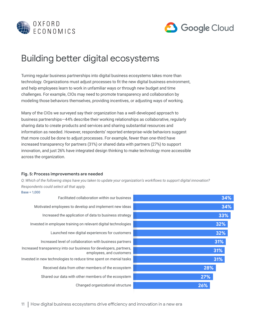<span id="page-10-0"></span>



### Building better digital ecosystems

Turning regular business partnerships into digital business ecosystems takes more than technology. Organizations must adjust processes to fit the new digital business environment, and help employees learn to work in unfamiliar ways or through new budget and time challenges. For example, CIOs may need to promote transparency and collaboration by modeling those behaviors themselves, providing incentives, or adjusting ways of working.

Many of the CIOs we surveyed say their organization has a well-developed approach to business partnerships—44% describe their working relationships as collaborative, regularly sharing data to create products and services and sharing substantial resources and information as needed. However, respondents' reported enterprise-wide behaviors suggest that more could be done to adjust processes. For example, fewer than one-third have increased transparency for partners (31%) or shared data with partners (27%) to support innovation, and just 26% have integrated design thinking to make technology more accessible across the organization.

#### **Fig. 5: Process improvements are needed**

*Q: Which of the following steps have you taken to update your organization's workflows to support digital innovation? Respondents could select all that apply.* 

#### Base = 1,000

Facilitated collaboration within our business Motivated employees to develop and implement new ideas Increased the application of data to business strategy Invested in employee training on relevant digital technologies Launched new digital experiences for customers Increased level of collaboration with business partners Increased transparency into our business for developers, partners, employees, and customers Invested in new technologies to reduce time spent on menial tasks Received data from other members of the ecosystem Shared our data with other members of the ecosystem Changed organizational structure

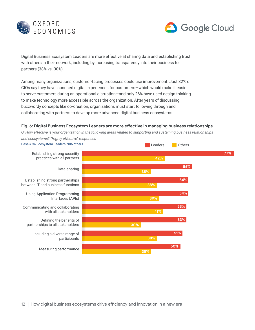



Digital Business Ecosystem Leaders are more effective at sharing data and establishing trust with others in their network, including by increasing transparency into their business for partners (38% vs. 30%).

Among many organizations, customer-facing processes could use improvement. Just 32% of CIOs say they have launched digital experiences for customers—which would make it easier to serve customers during an operational disruption—and only 26% have used design thinking to make technology more accessible across the organization. After years of discussing buzzwordy concepts like co-creation, organizations must start following through and collaborating with partners to develop more advanced digital business ecosystems.

#### **Fig. 6: Digital Business Ecosystem Leaders are more effective in managing business relationships**

*Q: How effective is your organization in the following areas related to supporting and sustaining business relationships and ecosystems? "Highly effective" responses*

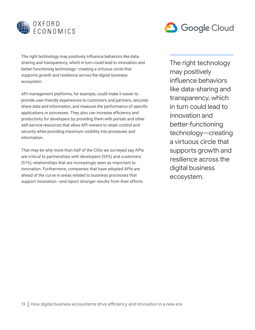



The right technology may positively influence behaviors like datasharing and transparency, which in turn could lead to innovation and better-functioning technology—creating a virtuous circle that supports growth and resilience across the digital business ecosystem.

API management platforms, for example, could make it easier to provide user-friendly experiences to customers and partners, securely share data and information, and measure the performance of specific applications or processes. They also can increase efficiency and productivity for developers by providing them with portals and other self-service resources that allow API owners to retain control and security while providing maximum visibility into processes and information.

That may be why more than half of the CIOs we surveyed say APIs are critical to partnerships with developers (55%) and customers (51%), relationships that are increasingly seen as important to innovation. Furthermore, companies that have adopted APIs are ahead of the curve in areas related to business processes that support innovation—and report stronger results from their efforts. The right technology may positively influence behaviors like data-sharing and transparency, which in turn could lead to innovation and better-functioning technology—creating a virtuous circle that supports growth and resilience across the digital business ecosystem.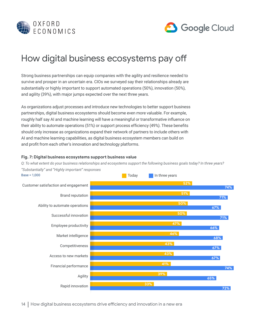<span id="page-13-0"></span>



### How digital business ecosystems pay off

Strong business partnerships can equip companies with the agility and resilience needed to survive and prosper in an uncertain era. CIOs we surveyed say their relationships already are substantially or highly important to support automated operations (50%), innovation (50%), and agility (39%), with major jumps expected over the next three years.

As organizations adjust processes and introduce new technologies to better support business partnerships, digital business ecosystems should become even more valuable. For example, roughly half say AI and machine learning will have a meaningful or transformative influence on their ability to automate operations (51%) or support process efficiency (49%). These benefits should only increase as organizations expand their network of partners to include others with AI and machine learning capabilities, as digital business ecosystem members can build on and profit from each other's innovation and technology platforms.

#### **Fig. 7: Digital business ecosystems support business value**

*Q: To what extent do your business relationships and ecosystems support the following business goals today? In three years? "Substantially" and "Highly important" responses*

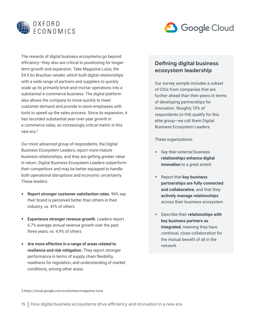



The rewards of digital business ecosystems go beyond efficiency—they also are critical to positioning for longerterm growth and expansion. Take Magazine Luiza, the \$4.5 bn Brazilian retailer, which built digital relationships with a wide range of partners and suppliers to quickly scale up its primarily brick-and-mortar operations into a substantial e-commerce business. The digital platform also allows the company to move quickly to meet customer demand and provide in-store employees with tools to speed up the sales process. Since its expansion, it has recorded substantial year-over-year growth in e-commerce sales, an increasingly critical metric in this new era<sup>3</sup>

Our most advanced group of respondents, the Digital Business Ecosystem Leaders, report more mature business relationships, and they are getting greater value in return. Digital Business Ecosystem Leaders outperform their competitors and may be better equipped to handle both operational disruptions and economic uncertainty. These leaders:

- **• Report stronger customer satisfaction rates.** 96% say their brand is perceived better than others in their industry, vs. 41% of others
- **• Experience stronger revenue growth.** Leaders report 6.7% average annual revenue growth over the past three years, vs. 4.9% of others
- **• Are more effective in a range of areas related to resilience and risk mitigation.** They report stronger performance in terms of supply chain flexibility, readiness for regulation, and understanding of market conditions, among other areas.

#### **Defining digital business ecosystem leadership**

Our survey sample includes a subset of CIOs from companies that are further ahead than their peers in terms of developing partnerships for innovation. Roughly 10% of respondents (n=94) qualify for this elite group—we call them Digital Business Ecosystem Leaders.

These organizations:

- Say their external business **relationships enhance digital innovation** to a great extent
- Report that **key business partnerships are fully connected and collaborative**, and that they **actively manage relationships** across their business ecosystem
- Describe their **relationships with key business partners as integrated**, meaning they have continual, close collaboration for the mutual benefit of all in the network

3 https://cloud.google.com/customers/magazine-luiza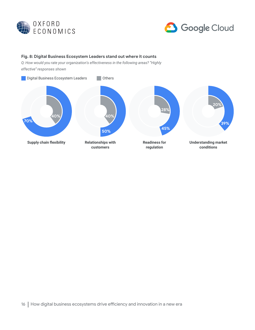



#### **Fig. 8: Digital Business Ecosystem Leaders stand out where it counts**

*Q: How would you rate your organization's effectiveness in the following areas? "Highly effective" responses shown*

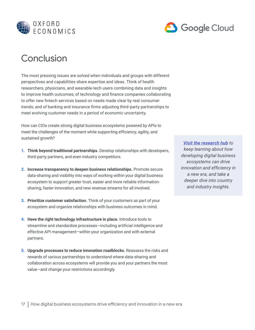<span id="page-16-0"></span>



### **Conclusion**

The most pressing issues are solved when individuals and groups with different perspectives and capabilities share expertise and ideas. Think of health researchers, physicians, and wearable-tech users combining data and insights to improve health outcomes; of technology and finance companies collaborating to offer new fintech services based on needs made clear by real consumer trends; and of banking and insurance firms adjusting third-party partnerships to meet evolving customer needs in a period of economic uncertainty.

How can CIOs create strong digital business ecosystems powered by APIs to meet the challenges of the moment while supporting efficiency, agility, and sustained growth?

- 1. **Think beyond traditional partnerships.** Develop relationships with developers, third-party partners, and even industry competitors.
- 2. **Increase transparency to deepen business relationships.** Promote secure data-sharing and visibility into ways of working within your digital business ecosystem to support greater trust, easier and more reliable informationsharing, faster innovation, and new revenue streams for all involved.
- 3. **Prioritize customer satisfaction.** Think of your customers as part of your ecosystem and organize relationships with business outcomes in mind.
- 4. **Have the right technology infrastructure in place.** Introduce tools to streamline and standardize processes—including artificial intelligence and effective API management—within your organization and with external partners.
- 5. **Upgrade processes to reduce innovation roadblocks.** Reassess the risks and rewards of various partnerships to understand where data-sharing and collaboration across ecosystems will provide you and your partners the most value—and change your restrictions accordingly.

*[Visit the research hub](https://pages.apigee.com/digital-business-ecosystems-research-register/?utm_source=ebook&utm_medium=cta&utm_campaign=oxford-economics) to keep learning about how developing digital business ecosystems can drive innovation and efficiency in a new era, and take a deeper dive into country and industry insights.*